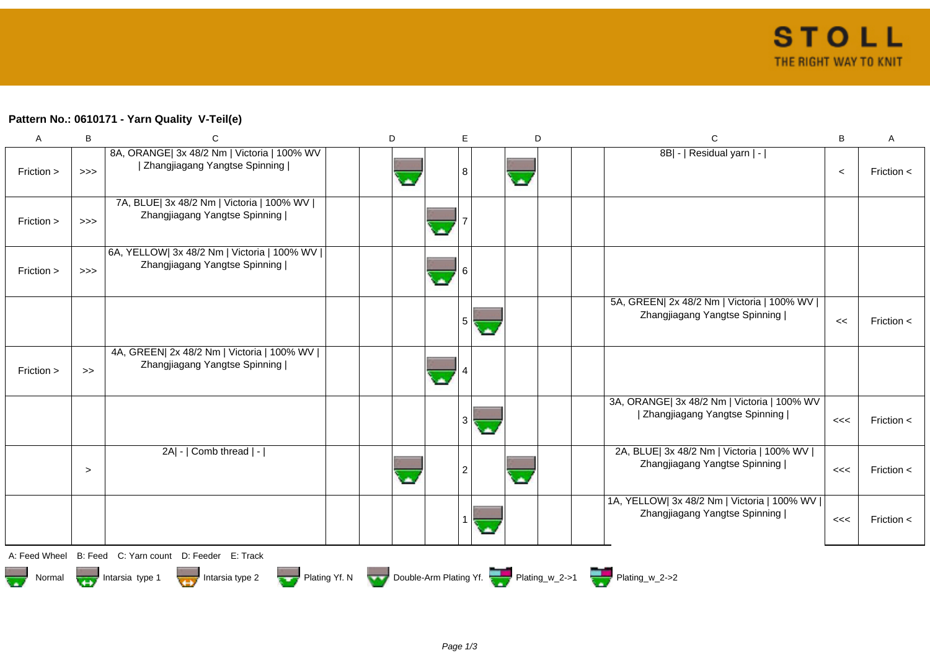## **Pattern No.: 0610171 - Yarn Quality V-Teil(e)**

| A             | B                                                                                                          | C                                                                              | D |  | E              |  | D                        |  | $\mathsf{C}$                                                                   | B     | Α              |  |
|---------------|------------------------------------------------------------------------------------------------------------|--------------------------------------------------------------------------------|---|--|----------------|--|--------------------------|--|--------------------------------------------------------------------------------|-------|----------------|--|
| Friction >    | >>                                                                                                         | 8A, ORANGE  3x 48/2 Nm   Victoria   100% WV<br>  Zhangjiagang Yangtse Spinning |   |  | 8              |  |                          |  | 8B  -   Residual yarn   -                                                      | $\,<$ | Friction $\lt$ |  |
| Friction >    | $>>>$                                                                                                      | 7A, BLUE  3x 48/2 Nm   Victoria   100% WV  <br>Zhangjiagang Yangtse Spinning   |   |  |                |  |                          |  |                                                                                |       |                |  |
| Friction >    | $>>>$                                                                                                      | 6A, YELLOW  3x 48/2 Nm   Victoria   100% WV  <br>Zhangjiagang Yangtse Spinning |   |  | 6<br>×         |  |                          |  |                                                                                |       |                |  |
|               |                                                                                                            |                                                                                |   |  | 5              |  |                          |  | 5A, GREEN  2x 48/2 Nm   Victoria   100% WV  <br>Zhangjiagang Yangtse Spinning  | $\,<$ | Friction <     |  |
| Friction >    | $\gt$                                                                                                      | 4A, GREEN  2x 48/2 Nm   Victoria   100% WV  <br>Zhangjiagang Yangtse Spinning  |   |  |                |  |                          |  |                                                                                |       |                |  |
|               |                                                                                                            |                                                                                |   |  | 3              |  |                          |  | 3A, ORANGE  3x 48/2 Nm   Victoria   100% WV<br>  Zhangjiagang Yangtse Spinning | <<    | Friction $\lt$ |  |
|               | $\geq$                                                                                                     | 2A  -   Comb thread   -                                                        |   |  | $\overline{2}$ |  | $\overline{\phantom{a}}$ |  | 2A, BLUE  3x 48/2 Nm   Victoria   100% WV  <br>Zhangjiagang Yangtse Spinning   | <<    | Friction $\lt$ |  |
|               |                                                                                                            |                                                                                |   |  |                |  |                          |  | 1A, YELLOW  3x 48/2 Nm   Victoria   100% WV  <br>Zhangjiagang Yangtse Spinning | <<    | Friction $\lt$ |  |
| A: Feed Wheel |                                                                                                            | B: Feed C: Yarn count D: Feeder E: Track                                       |   |  |                |  |                          |  |                                                                                |       |                |  |
| Normal        | Plating Yf. N Double-Arm Plating Yf. Plating_w_2->1 Plating_w_2->2<br>Intarsia type $2$<br>Intarsia type 1 |                                                                                |   |  |                |  |                          |  |                                                                                |       |                |  |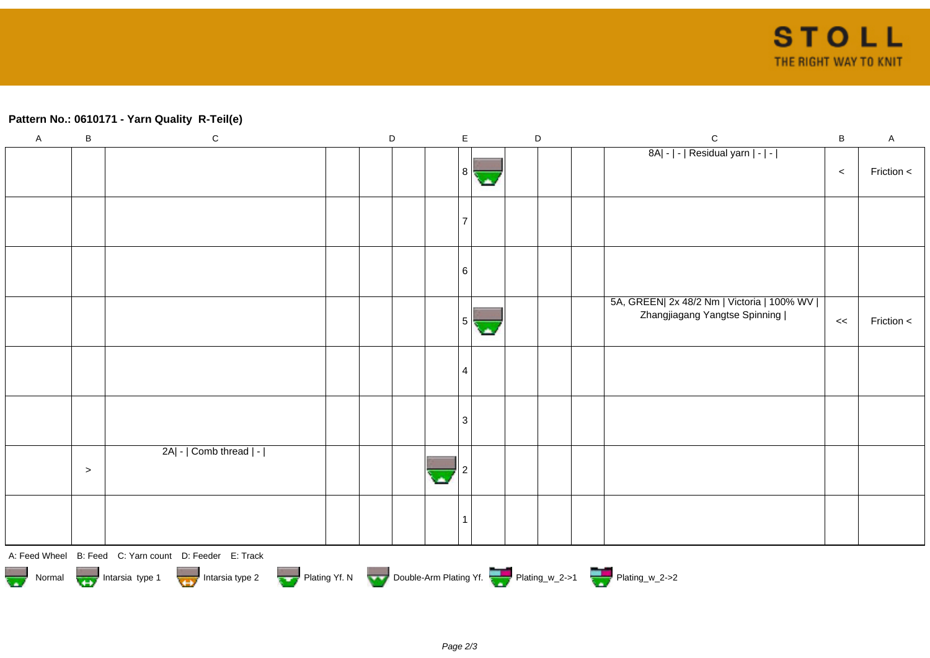## **Pattern No.: 0610171 - Yarn Quality R-Teil(e)**

| $\mathsf A$                                                                      | $\sf B$ | ${\bf C}$                                              |  | D |  | E |   | $\mathsf D$ |  |  | $\mathbf C$                                                                   | $\, {\bf B}$ | $\mathsf A$ |
|----------------------------------------------------------------------------------|---------|--------------------------------------------------------|--|---|--|---|---|-------------|--|--|-------------------------------------------------------------------------------|--------------|-------------|
|                                                                                  |         |                                                        |  |   |  | 8 |   |             |  |  | 8A  -   -   Residual yarn   -   -                                             | $\,<$        | Friction <  |
|                                                                                  |         |                                                        |  |   |  |   |   |             |  |  |                                                                               |              |             |
|                                                                                  |         |                                                        |  |   |  | 6 |   |             |  |  |                                                                               |              |             |
|                                                                                  |         |                                                        |  |   |  | 5 | ∙ |             |  |  | 5A, GREEN  2x 48/2 Nm   Victoria   100% WV  <br>Zhangjiagang Yangtse Spinning | <<           | Friction <  |
|                                                                                  |         |                                                        |  |   |  | 4 |   |             |  |  |                                                                               |              |             |
|                                                                                  |         |                                                        |  |   |  | 3 |   |             |  |  |                                                                               |              |             |
|                                                                                  | $\, >$  | 2A  -   Comb thread   -                                |  |   |  |   |   |             |  |  |                                                                               |              |             |
|                                                                                  |         |                                                        |  |   |  |   |   |             |  |  |                                                                               |              |             |
|                                                                                  |         | A: Feed Wheel B: Feed C: Yarn count D: Feeder E: Track |  |   |  |   |   |             |  |  |                                                                               |              |             |
| Normal More Intarsia type 1 Intarsia type 2 Plating Yf. N Double-Arm Plating Yf. |         |                                                        |  |   |  |   |   |             |  |  |                                                                               |              |             |